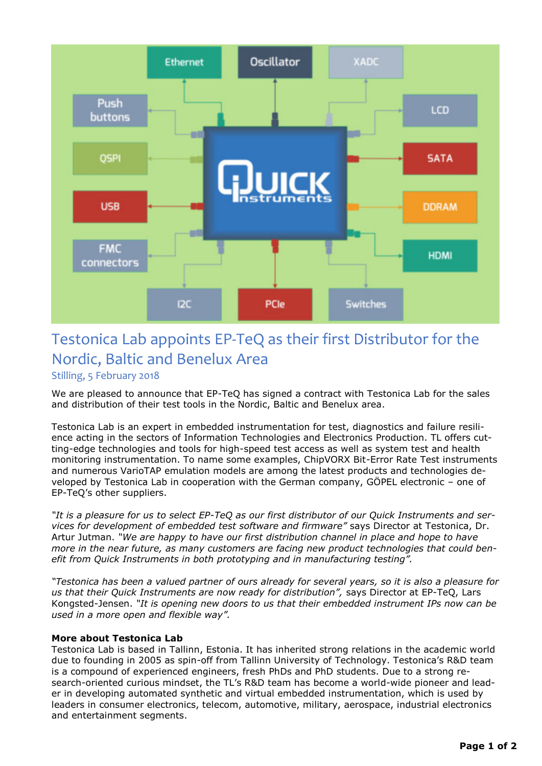

## Testonica Lab appoints EP-TeQ as their first Distributor for the Nordic, Baltic and Benelux Area

Stilling, 5 February 2018

We are pleased to announce that EP-TeQ has signed a contract with Testonica Lab for the sales and distribution of their test tools in the Nordic, Baltic and Benelux area.

Testonica Lab is an expert in embedded instrumentation for test, diagnostics and failure resilience acting in the sectors of Information Technologies and Electronics Production. TL offers cutting-edge technologies and tools for high-speed test access as well as system test and health monitoring instrumentation. To name some examples, ChipVORX Bit-Error Rate Test instruments and numerous VarioTAP emulation models are among the latest products and technologies developed by Testonica Lab in cooperation with the German company, GÖPEL electronic – one of EP-TeQ's other suppliers.

*"It is a pleasure for us to select EP-TeQ as our first distributor of our Quick Instruments and services for development of embedded test software and firmware"* says Director at Testonica, Dr. Artur Jutman. *"We are happy to have our first distribution channel in place and hope to have more in the near future, as many customers are facing new product technologies that could benefit from Quick Instruments in both prototyping and in manufacturing testing".* 

*"Testonica has been a valued partner of ours already for several years, so it is also a pleasure for us that their Quick Instruments are now ready for distribution",* says Director at EP-TeQ, Lars Kongsted-Jensen. *"It is opening new doors to us that their embedded instrument IPs now can be used in a more open and flexible way".*

## **More about Testonica Lab**

Testonica Lab is based in Tallinn, Estonia. It has inherited strong relations in the academic world due to founding in 2005 as spin-off from Tallinn University of Technology. Testonica's R&D team is a compound of experienced engineers, fresh PhDs and PhD students. Due to a strong research-oriented curious mindset, the TL's R&D team has become a world-wide pioneer and leader in developing automated synthetic and virtual embedded instrumentation, which is used by leaders in consumer electronics, telecom, automotive, military, aerospace, industrial electronics and entertainment segments.